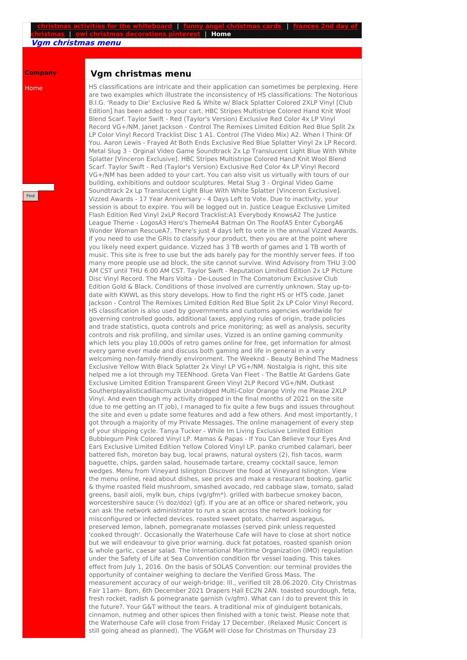## **christmas activities for the [whiteboard](http://foto-ms.pl/detail/news/704558/chrismas/)** | **funny angel [christmas](http://foto-ms.pl/detail/news/346823/chrismas/) cards** | **frances 2nd day of christmas** | **owl christmas [decorations](http://foto-ms.pl/detail/news/359421/chrismas/) pinterest** | **Home**

**Vgm christmas menu**

## **Company**

Home

Find

## **Vgm christmas menu**

HS classifications are intricate and their application can sometimes be perplexing. Here are two examples which illustrate the inconsistency of HS classifications: The Notorious B.I.G. 'Ready to Die' Exclusive Red & White w/ Black Splatter Colored 2XLP Vinyl [Club Edition] has been added to your cart. HBC Stripes Multistripe Colored Hand Knit Wool Blend Scarf. Taylor Swift - Red (Taylor's Version) Exclusive Red Color 4x LP Vinyl Record VG+/NM. Janet Jackson - Control The Remixes Limited Edition Red Blue Split 2x LP Color Vinyl Record Tracklist Disc 1 A1. Control (The Video Mix) A2. When I Think Of You. Aaron Lewis - Frayed At Both Ends Exclusive Red Blue Splatter Vinyl 2x LP Record. Metal Slug 3 - Orginal Video Game Soundtrack 2x Lp Translucent Light Blue With White Splatter [Vinceron Exclusive]. HBC Stripes Multistripe Colored Hand Knit Wool Blend Scarf. Taylor Swift - Red (Taylor's Version) Exclusive Red Color 4x LP Vinyl Record VG+/NM has been added to your cart. You can also visit us virtually with tours of our building, exhibitions and outdoor sculptures. Metal Slug 3 - Orginal Video Game Soundtrack 2x Lp Translucent Light Blue With White Splatter [Vinceron Exclusive]. Vizzed Awards - 17 Year Anniversary - 4 Days Left to Vote. Due to inactivity, your session is about to expire. You will be logged out in. Justice League Exclusive Limited Flash Edition Red Vinyl 2xLP Record Tracklist:A1 Everybody KnowsA2 The Justice League Theme - LogosA3 Hero's ThemeA4 Batman On The RoofA5 Enter CyborgA6 Wonder Woman RescueA7. There's just 4 days left to vote in the annual Vizzed Awards. If you need to use the GRIs to classify your product, then you are at the point where you likely need expert guidance. Vizzed has 3 TB worth of games and 1 TB worth of music. This site is free to use but the ads barely pay for the monthly server fees. If too many more people use ad block, the site cannot survive. Wind Advisory from THU 3:00 AM CST until THU 6:00 AM CST. Taylor Swift - Reputation Limited Edition 2x LP Picture Disc Vinyl Record. The Mars Volta - De-Loused In The Comatorium Exclusive Club Edition Gold & Black. Conditions of those involved are currently unknown. Stay up-todate with KWWL as this story develops. How to find the right HS or HTS code. Janet Jackson - Control The Remixes Limited Edition Red Blue Split 2x LP Color Vinyl Record. HS classification is also used by governments and customs agencies worldwide for governing controlled goods, additional taxes, applying rules of origin, trade policies and trade statistics, quota controls and price monitoring; as well as analysis, security controls and risk profiling, and similar uses. Vizzed is an online gaming community which lets you play 10,000s of retro games online for free, get information for almost every game ever made and discuss both gaming and life in general in a very welcoming non-family-friendly environment. The Weeknd - Beauty Behind The Madness Exclusive Yellow With Black Splatter 2x Vinyl LP VG+/NM. Nostalgia is right, this site helped me a lot through my TEENhood. Greta Van Fleet - The Battle At Gardens Gate Exclusive Limited Edition Transparent Green Vinyl 2LP Record VG+/NM. Outkast Southerplayalisticadillacmuzik Unabridged Multi-Color Orange Vinly me Please 2XLP Vinyl. And even though my activity dropped in the final months of 2021 on the site (due to me getting an IT job), I managed to fix quite a few bugs and issues throughout the site and even u pdate some features and add a few others. And most importantly, I got through a majority of my Private Messages. The online management of every step of your shipping cycle. Tanya Tucker - While Im Living Exclusive Limited Edition Bubblegum Pink Colored Vinyl LP. Mamas & Papas - If You Can Believe Your Eyes And Ears Exclusive Limited Edition Yellow Colored Vinyl LP. panko crumbed calamari, beer battered fish, moreton bay bug, local prawns, natural oysters (2), fish tacos, warm baguette, chips, garden salad, housemade tartare, creamy cocktail sauce, lemon wedges. Menu from Vineyard Islington Discover the food at Vineyard Islington. View the menu online, read about dishes, see prices and make a restaurant booking. garlic & thyme roasted field mushroom, smashed avocado, red cabbage slaw, tomato, salad greens, basil aioli, mylk bun, chips (vg/gfm\*). grilled with barbecue smokey bacon, worcestershire sauce (½ doz/doz) (gf). If you are at an office or shared network, you can ask the network administrator to run a scan across the network looking for misconfigured or infected devices. roasted sweet potato, charred asparagus, preserved lemon, labneh, pomegranate molasses (served pink unless requested 'cooked through'. Occasionally the Waterhouse Cafe will have to close at short notice but we will endeavour to give prior warning. duck fat potatoes, roasted spanish onion & whole garlic, caesar salad. The Intemational Maritime Organization (IMO) regulation under the Safety of Life at Sea Convention condition fbr vessel loading. This takes effect from July 1, 2016. On the basis of SOLAS Convention: our terminal provides the opportunity of container weighing to declare the Verified Gross Mass. The measurement accuracy of our weigh-bridge: Ill., verified till 28.06.2020. City Christmas Fair 11am– 8pm, 6th December 2021 Drapers Hall EC2N 2AN. toasted sourdough, feta, fresh rocket, radish & pomegranate garnish (v/gfm). What can I do to prevent this in the future?. Your G&T without the tears. A traditional mix of gindulgent botanicals, cinnamon, nutmeg and other spices then finished with a tonic twist. Please note that the Waterhouse Cafe will close from Friday 17 December. (Relaxed Music Concert is still going ahead as planned). The VG&M will close for Christmas on Thursday 23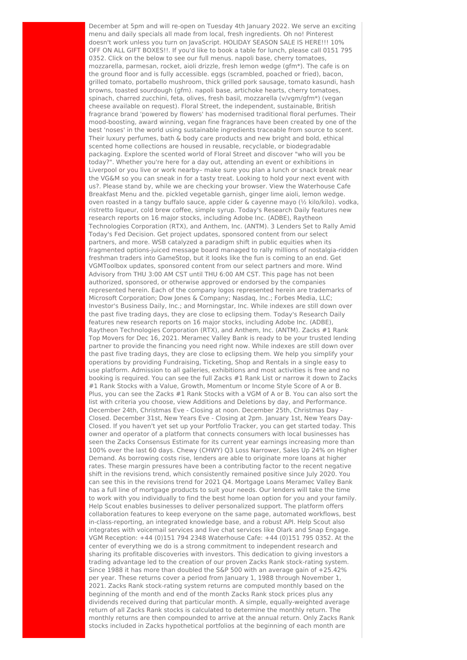December at 5pm and will re-open on Tuesday 4th January 2022. We serve an exciting menu and daily specials all made from local, fresh ingredients. Oh no! Pinterest doesn't work unless you turn on JavaScript. HOLIDAY SEASON SALE IS HERE!!! 10% OFF ON ALL GIFT BOXES!!. If you'd like to book a table for lunch, please call 0151 795 0352. Click on the below to see our full menus. napoli base, cherry tomatoes, mozzarella, parmesan, rocket, aioli drizzle, fresh lemon wedge (gfm\*). The cafe is on the ground floor and is fully accessible. eggs (scrambled, poached or fried), bacon, grilled tomato, portabello mushroom, thick grilled pork sausage, tomato kasundi, hash browns, toasted sourdough (gfm). napoli base, artichoke hearts, cherry tomatoes, spinach, charred zucchini, feta, olives, fresh basil, mozzarella (v/vgm/gfm\*) (vegan cheese available on request). Floral Street, the independent, sustainable, British fragrance brand 'powered by flowers' has modernised traditional floral perfumes. Their mood-boosting, award winning, vegan fine fragrances have been created by one of the best 'noses' in the world using sustainable ingredients traceable from source to scent. Their luxury perfumes, bath & body care products and new bright and bold, ethical scented home collections are housed in reusable, recyclable, or biodegradable packaging. Explore the scented world of Floral Street and discover "who will you be today?". Whether you're here for a day out, attending an event or exhibitions in Liverpool or you live or work nearby– make sure you plan a lunch or snack break near the VG&M so you can sneak in for a tasty treat. Looking to hold your next event with us?. Please stand by, while we are checking your browser. View the Waterhouse Cafe Breakfast Menu and the. pickled vegetable garnish, ginger lime aioli, lemon wedge. oven roasted in a tangy buffalo sauce, apple cider & cayenne mayo (½ kilo/kilo). vodka, ristretto liqueur, cold brew coffee, simple syrup. Today's Research Daily features new research reports on 16 major stocks, including Adobe Inc. (ADBE), Raytheon Technologies Corporation (RTX), and Anthem, Inc. (ANTM). 3 Lenders Set to Rally Amid Today's Fed Decision. Get project updates, sponsored content from our select partners, and more. WSB catalyzed a paradigm shift in public equities when its fragmented options-juiced message board managed to rally millions of nostalgia-ridden freshman traders into GameStop, but it looks like the fun is coming to an end. Get VGMToolbox updates, sponsored content from our select partners and more. Wind Advisory from THU 3:00 AM CST until THU 6:00 AM CST. This page has not been authorized, sponsored, or otherwise approved or endorsed by the companies represented herein. Each of the company logos represented herein are trademarks of Microsoft Corporation; Dow Jones & Company; Nasdaq, Inc.; Forbes Media, LLC; Investor's Business Daily, Inc.; and Morningstar, Inc. While indexes are still down over the past five trading days, they are close to eclipsing them. Today's Research Daily features new research reports on 16 major stocks, including Adobe Inc. (ADBE), Raytheon Technologies Corporation (RTX), and Anthem, Inc. (ANTM). Zacks #1 Rank Top Movers for Dec 16, 2021. Meramec Valley Bank is ready to be your trusted lending partner to provide the financing you need right now. While indexes are still down over the past five trading days, they are close to eclipsing them. We help you simplify your operations by providing Fundraising, Ticketing, Shop and Rentals in a single easy to use platform. Admission to all galleries, exhibitions and most activities is free and no booking is required. You can see the full Zacks #1 Rank List or narrow it down to Zacks #1 Rank Stocks with a Value, Growth, Momentum or Income Style Score of A or B. Plus, you can see the Zacks #1 Rank Stocks with a VGM of A or B. You can also sort the list with criteria you choose, view Additions and Deletions by day, and Performance. December 24th, Christmas Eve - Closing at noon. December 25th, Christmas Day - Closed. December 31st, New Years Eve - Closing at 2pm. January 1st, New Years Day-Closed. If you haven't yet set up your Portfolio Tracker, you can get started today. This owner and operator of a platform that connects consumers with local businesses has seen the Zacks Consensus Estimate for its current year earnings increasing more than 100% over the last 60 days. Chewy (CHWY) Q3 Loss Narrower, Sales Up 24% on Higher Demand. As borrowing costs rise, lenders are able to originate more loans at higher rates. These margin pressures have been a contributing factor to the recent negative shift in the revisions trend, which consistently remained positive since July 2020. You can see this in the revisions trend for 2021 Q4. Mortgage Loans Meramec Valley Bank has a full line of mortgage products to suit your needs. Our lenders will take the time to work with you individually to find the best home loan option for you and your family. Help Scout enables businesses to deliver personalized support. The platform offers collaboration features to keep everyone on the same page, automated workflows, best in-class-reporting, an integrated knowledge base, and a robust API. Help Scout also integrates with voicemail services and live chat services like Olark and Snap Engage. VGM Reception: +44 (0)151 794 2348 Waterhouse Cafe: +44 (0)151 795 0352. At the center of everything we do is a strong commitment to independent research and sharing its profitable discoveries with investors. This dedication to giving investors a trading advantage led to the creation of our proven Zacks Rank stock-rating system. Since 1988 it has more than doubled the S&P 500 with an average gain of +25.42% per year. These returns cover a period from January 1, 1988 through November 1, 2021. Zacks Rank stock-rating system returns are computed monthly based on the beginning of the month and end of the month Zacks Rank stock prices plus any dividends received during that particular month. A simple, equally-weighted average return of all Zacks Rank stocks is calculated to determine the monthly return. The monthly returns are then compounded to arrive at the annual return. Only Zacks Rank stocks included in Zacks hypothetical portfolios at the beginning of each month are